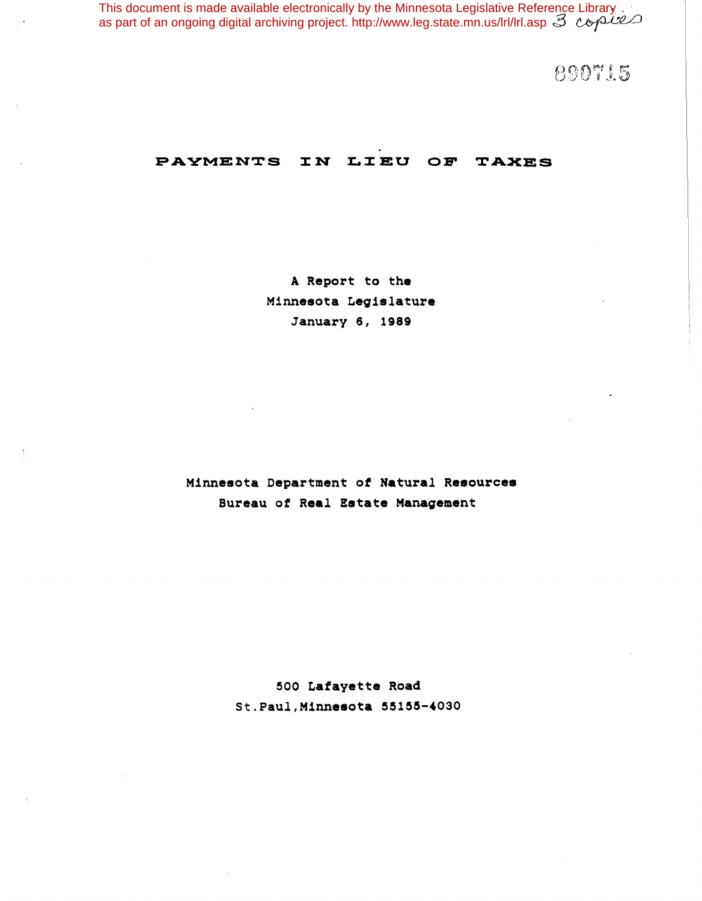This document is made available electronically by the Minnesota Legislative Reference Library as part of an ongoing digital archiving project. http://www.leg.state.mn.us/lrl/lrl.asp

890715

# PAYMENTS IN LIEU OF TAXES

A Report to the Minnesota Legislature January 6, 1989

Minnesota Department *ot* Natural Resources Bureau *ot* Real Estate Management

> 500 Lafayette Road St.Paul, Minnesota 55155-4030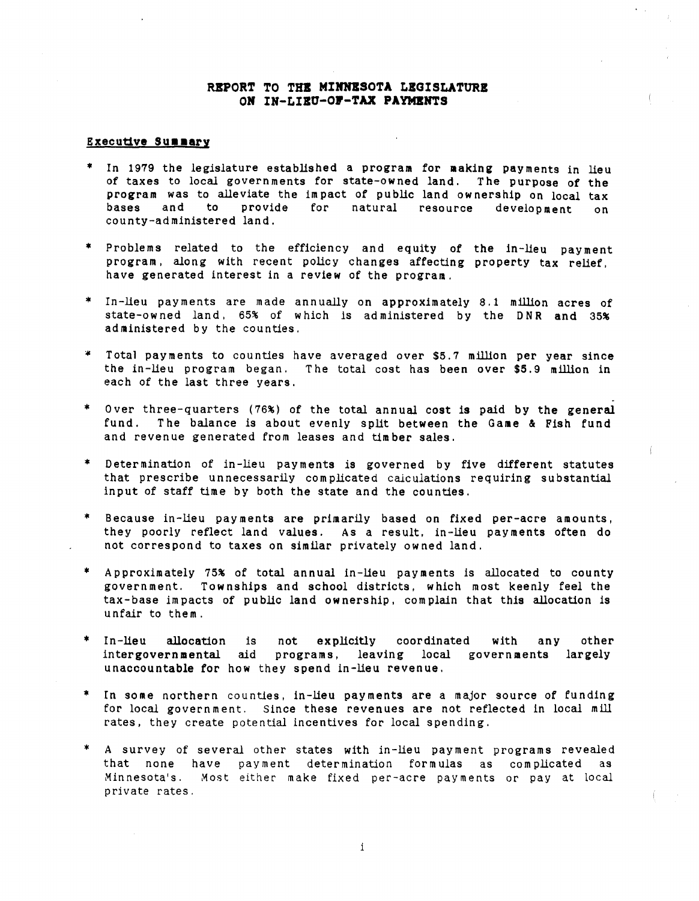## REPORT TO THE MINNESOTA LEGISLATURE ON IN-LIEU-OF-TAX PAYMENTS

## **Executive Summary**

- \* In 1979 the legislature established a program for making payments in lieu of taxes to local governments for state-owned land. The purpose of the program was to alleviate the impact of public land ownership on local tax bases and to provide for natural resource development county-ad ministered land. on
- \* Problems related to the efficiency and equity of the in-lieu payment program. along with recent policy changes affecting property tax relief. have generated interest in a review of the program.
- \* In-lieu payments are made annually on approximately 8.1 million acres of state-owned land. 65% of which *is* administered by the DNR and 35% administered by the counties.
- Total payments to counties have averaged over \$5.7 million per year since the in-lieu program began. The total cost has been over \$5.9 million in each of the last three years.
- \* Over three-quarters (76%) of the total annual cost is paid by the general fund. The balance is about evenly split between the Game & Fish fund and revenue generated from leases and timber sales.
- \* Determination of in-lieu payments is governed by five different statutes that prescribe unnecessarily complicated calculations requiring substantial input of staff time by both the state and the counties.
- \* Because in-lieu payment<mark>s are primaril</mark>y based on fixed per-acre amounts, they poorly reflect land values. As a result, in-lieu payments often do not correspond to taxes on similar privately ow ned land.
- \* Approximately 75% of total annual in-lieu payments is allocated to county government. Townships and school districts. which most keenly feel the tax-base impacts of public land ownership, complain that this allocation is unfair to them.
- other int<mark>ergovernmental</mark> aid programs, leaving local governments largely In-lieu allocation is not explicitly coordinated with any<br>intergovernmental aid programs, leaving local governments unaccountable for how they spend in-lieu revenue. ,.
- In some northern counties, in-lieu payments are a major source of funding for local government. Since these revenues are not reflected in local mill rates, they create potential incentives for local spending.
- \* A survey of several other states with in-lieu payment programs revealed that none have payment determination formulas as complicated as Minnesota's. Most either make fixed per-acre payments or pay at local private rates.

i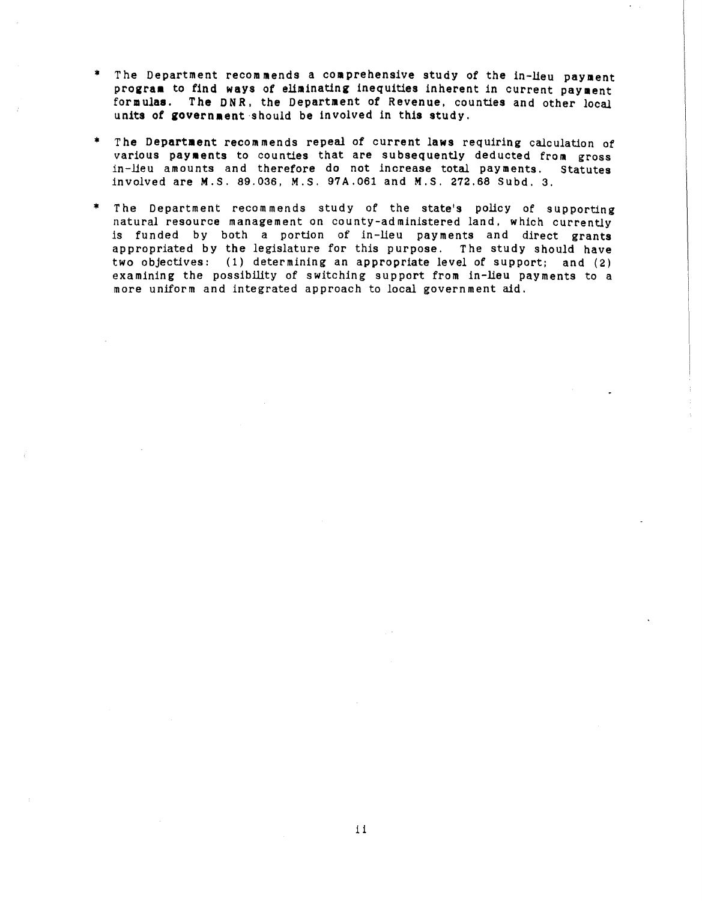- \* The Department recommends a comprehensive study of the in-lieu payment program to find ways of eliminating inequities inherent in current payment formulas. The DNR, the Department of Revenue, counties and other local units of government should be involved in this study.
- The Department recommends repeal of current laws requiring calculation of various payments to counties that are subsequently deducted from gross in-lieu amounts and therefore do not increase total payments. Statutes involved are M.S. 89.036, M.S. 97A.061 and M.S. 272.68 Subd. 3.
- \* The Department recommends study of the state's policy of supporting natural resource management on county-ad ministered land, which currently is funded by both a portion of in-lieu payments and direct grants appropriated by the legislature for this purpose. The study should have two objectives: (1) determining an appropriate level of support; and (2) examining the possibility of switching support from in-lieu payments to a more uniform and integrated approach to local government aid.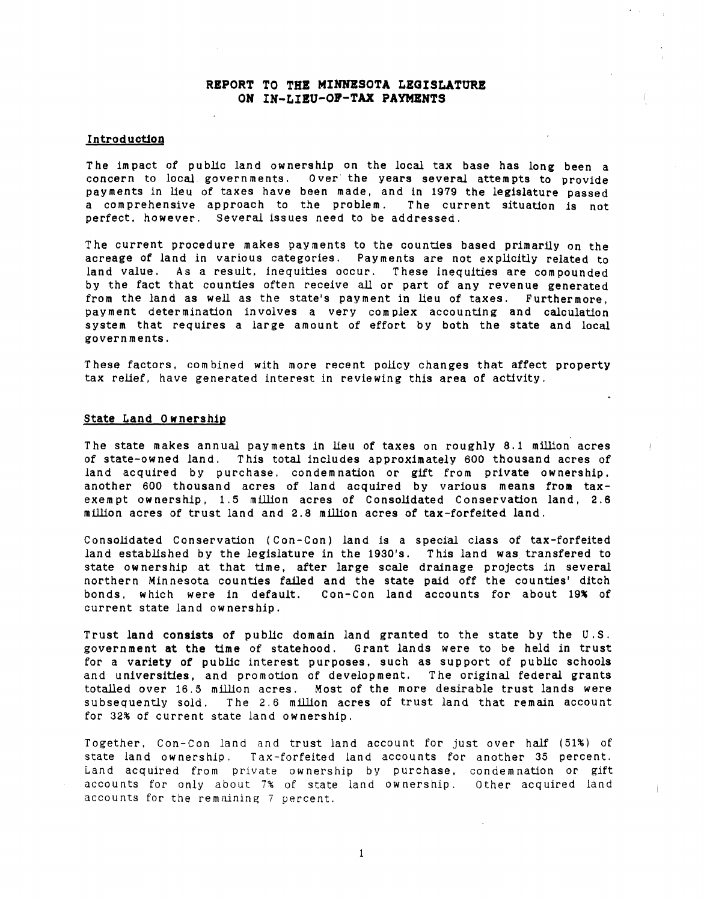## REPORT TO THE MINNESOTA LEGISLATURE ON IN-LIEU-OF-TAX PAYMENTS

## **Introduction**

The impact of public land ownership on the local tax base has long been a concern to local governments. Over the years several attempts to provide payments in lieu of taxes have been made. and in 1979 the legislature passed a com prehensive approach to the *problem.* r he current situation is not perfect. however. Several issues need to be addressed.

The current procedure makes payments to the counties based primarily on the acreage of land in various categories. Payments are not explicitly related to land *value.* As a result. inequities occur. These inequities are compounded by the fact that counties often receive all or part of any revenue generated from the land as well as the state's payment in lieu of taxes. Furthermore. pay ment deter mination in *volves* a very com *plex* accounting and calculation system that requires a large amount of effort by both the state and local govern ments.

These factors, combined with more recent policy changes that affect property tax relief. have generated interest in reviewing this area of activity.

## State Land 0 wnership

The state makes annual payments in lieu of taxes on roughly 8.1 million acres of state-owned land. T*his* total includes approximately 600 thousand acres of land acquired by purchase, condemnation or gift from private ownership. another 600 thousand acres of land acquired by various means from taxexempt ownership, 1.5 million acres of Consolidated Conservation land, 2.6 million acres of trust land and 2.8 million acres of tax-forfeited land.

Consolidated Conservation (Con-Con) land is a special class of tax-forfeited land established by the legislature in the 1930's. This land was transfered to state ownership at that time, after large scale drainage projects in several northern Minnesota counties failed and the state paid off the counties' ditch bonds, which were in default. Con-Con land accounts for about 19% of current state land ow nership.

Trust land consists of public domain land granted to the state by the U. S. government at the time of statehood. Grant lands were to be *held* in trust for a variety of public interest purposes. such as support of public schools and universities, and promotion of development. The original federal grants totalled over 16.5 million acres. Most of the more desirable trust lands were subsequently sold. The 2.6 million acres of trust land that remain account for 32% of current state land ownership.

Together, Con-Con land and trust land account for just over half (51%) of state land ownership. Tax-forfeited land accounts for another 35 percent. Land acquired from private ownership by purchase, condemnation or gift accounts for only about 7% of state land ownership. Other acquired land accounts for the remaining 7 percent.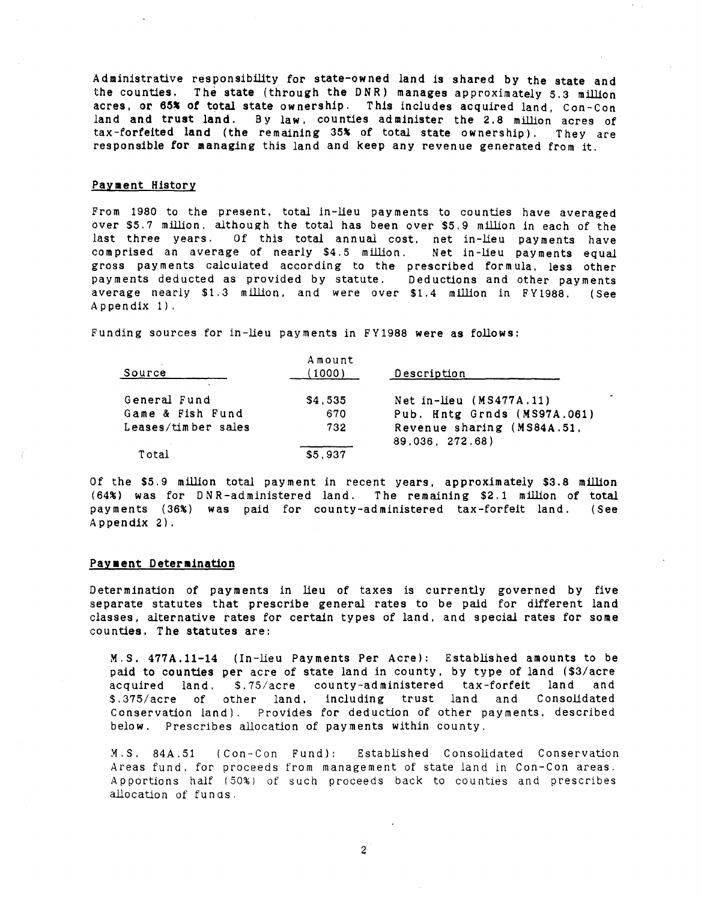Administrative responsibility for state-owned land is shared by the state and the counties. The state (through the DNR) manages approximately 5.3 million acres, or 65% of total state ownership. This includes acquired land, Con-Con land and trust land. By law, counties administer the 2.8 million acres of tax-forfeited land (the remaining 35% of total state ownership). They are responsible for managing this land and keep any revenue generated from it.

#### Payment History

From 1980 to the present, total in-lieu payments to counties have averaged over \$5.7 million. although the total has been over \$5.9 million in each of the last three years. Of this total annual cost. net in-lieu payments have com prised an average of nearly \$4.5 million. Net in-lieu payments equal gross payments calculated according to the prescribed formula. less other payments deducted as provided by statute. Deductions and other payments average nearly \$1.3 million. and were over \$1.4 million in FY1988. (See Appendix 1).

Funding sources for in-lieu payments in FY1988 were as follows:

| Source              | Amount<br>(1000) | Description                                   |
|---------------------|------------------|-----------------------------------------------|
| General Fund        | \$4,535          | Net in-lieu (MS477A.11)                       |
| Game & Fish Fund    | 670              | Pub. Hntg Grnds (MS97A.061)                   |
| Leases/timber sales | 732              | Revenue sharing (MS84A.51,<br>89.036, 272.68) |
| Total               | \$5,937          |                                               |

Of the \$5.9 million total payment in recent years, approximately \$3.8 million (64%) was for DNR-administered land. The remaining \$2.1 million of total payments (36%) was paid for county-administered tax-forfeit land. (See Appendix 2).

## Payment Determination

Determination of payments in lieu of taxes is currently governed by five separate statutes that prescribe general rates to be paid for different land classes, alternative rates for certain types of land, and special rates for some counties. The statutes are:

M.S. 477A.11-14 (In-lieu Payments Per Acre): Established amounts to be paid to counties per acre of state land in county, by type of land (\$3/acre acquired land. \$.75/acre county-administered tax-forfeit land and<br>\$.375/acre of other land, including trust land and Consolidated \$.375/acre of other land. including trust land and Consolidated Conservation land). Provides for deduction of other payments. described below. Prescribes allocation of payments within county.

M.S. 84A.51 (Con-Con Fund): Areas fund. for proceeds from management of state land in Con-Con areas. Apportions half (50%) of such proceeds back to counties and prescribes allocation of funds. Established Consolidated Conservation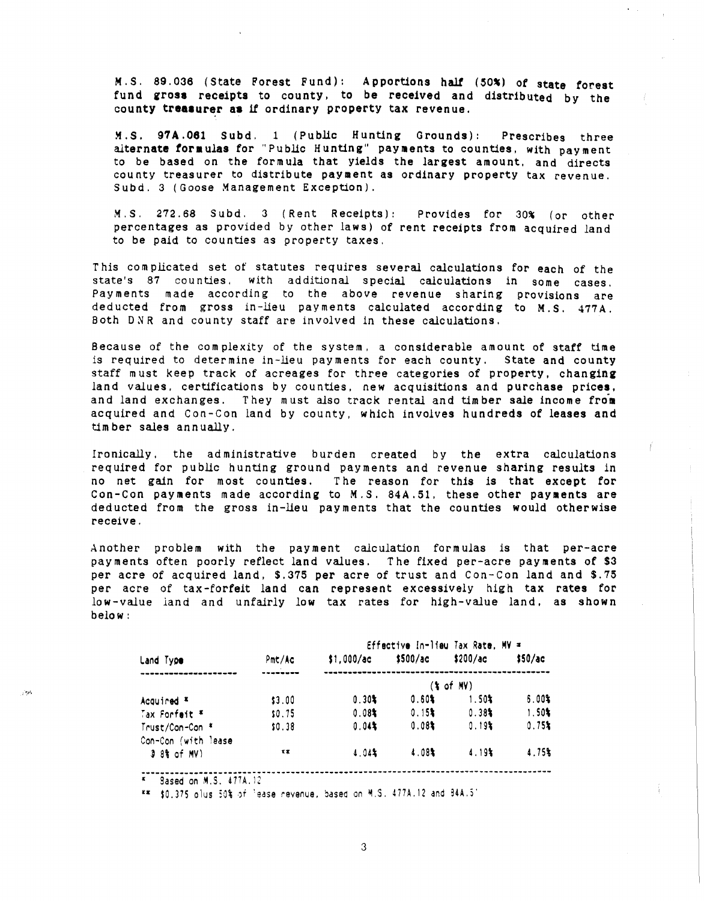M.S. 89.036 (State Forest Fund): Apportions half (50%) of state forest fund gross receipts to county. to be received and distributed by the county treasurer as if ordinary property tax revenue.

~.s. 97A.061 Subd. 1 (Public Hunting Grounds): Prescribes three alternate formulas for "Public Hunting" payments to counties, with payment to be based on the formula that Yields the largest amount, and directs county treasurer to distribute payment as ordinary property tax revenue. Subd. 3 (Goose Management Exception).

M.S. 272.68 Subd. 3 (Rent Receipts): Provides for 30% (or other percentages as provided by other laws) of rent receipts from acquired land to be paid to counties as property taxes.

This complicated set of statutes requires several calculations for each of the state's 87 counties. with additional special calculations in some cases. Payments made according to the above revenue sharing provisions are deducted from gross in-lieu payments calculated according to M.S. 477A. 80th 0 R and county staff are involved in these calculations.

Because of the complexity of the system, a considerable amount of staff time is required to determine in-lieu payments for each county. State and county staff must keep track of acreages for three categories of property. changing land values, certifications by counties, new acquisitions and purchase prices, and land exchanges. They must also track rental and timber sale income from acquired and Con-Con land by county. which involves hundreds of leases and timber sales annually.

Ironically, the administrative burden created by the extra calculations required for public hunting ground payments and revenue sharing results *in* no net gain for most counties. The reason for this is that except for Con-Con payments made according to M.S. 84A.51, these other payments are deducted from the gross in-lieu payments that the counties would otherwise receive.

Another problem with the payment calculation formulas is that per-acre pay ments often poorly reflect land values. The fixed per-acre payments of \$3 per acre of acquired land, \$.375 per acre of trust and Con-Con land and \$.75 per acre of tax-forfeit land can represent excessively high tax rates for low-value land and unfairly low tax rates for high-value land. as shown below:

|     |                      |              | Effective In-lieu Tax Rate, MV = |                      |                      |         |  |  |
|-----|----------------------|--------------|----------------------------------|----------------------|----------------------|---------|--|--|
|     | Land Type            | Pmt/Ac       | \$1.000/ac                       | \$500/a <sub>c</sub> | \$200/a <sub>c</sub> | \$50/ac |  |  |
|     |                      |              | $(* of MV)$                      |                      |                      |         |  |  |
| τø, | Acquired *           | \$3.00       | 0.30%                            | 0.60%                | $1.50*$              | 6.001   |  |  |
|     | Tax Forfeit #        | \$0.75       | 0.081                            | 0.15                 | 0.38                 | 1.50%   |  |  |
|     | Trust/Con-Con *      | \$0.38       | 0.04                             | 0.08                 | 0.19%                | 0.75    |  |  |
|     | Con-Con (with lease) |              |                                  |                      |                      |         |  |  |
|     | 3 8% of MV)          | $\star\star$ | $4.04*$                          | 4.08%                | 4.19%                | 4.75%   |  |  |

\*\* \$0.375 olus 50% of 'ease revenue, based on M.S. 477A.12 and 84A.5'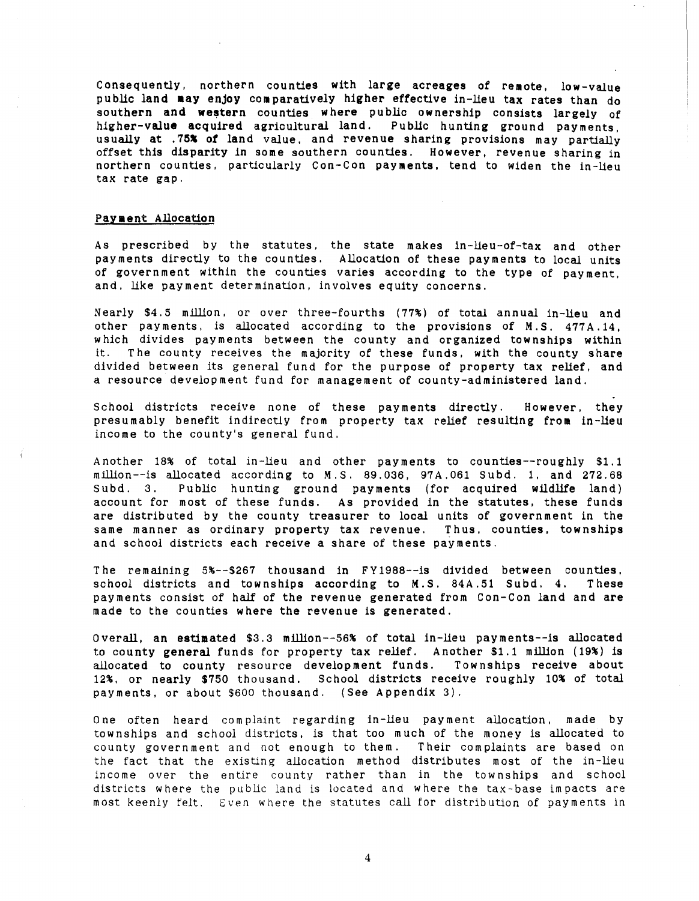Consequently, northern counties with large acreages of remote, low-value public land may enjoy comparatively higher effective in-lieu tax rates than do southern and western counties where public ownership consists largely of higher-value acquired agricultural land. Public hunting ground payments, usually at .75% *ot* land value, and revenue sharing provisions may partially offset this disparity in some southern counties. However, revenue sharing in northern counties, particularly Con-Con payments, tend to widen the in-lieu tax rate gap.

#### Payment Allocation

As prescribed by the statutes. the state makes in-lieu-of-tax and other payments directly to the counties. Allocation of these payments to local units of government within the counties varies according to the type of payment, and. like payment determination, involves equity concerns.

Nearly \$4.5 million. or over three-fourths (77%) of total annual in-lieu and other payments, *is* allocated according to the *provisions* of M.S. 477A.14, which divides payments between the county and organized townships within it. The county receives the majority of these funds, with the county share divided between *its* general fund for the purpose of property tax relief, and a resource development fund for management of county-administered land.

School districts receive none of these payments directly. However, they presumably benefit indirectly from property tax relief resulting from in-lieu income to the county's general fund.

Another 18% of total in-lieu and other payments to counties--roughly \$1.1 million--is allocated according to M.S. 89.036, 97A.061 Subd. 1, and 272.68 Subd. 3. Public hunting ground payments (for acquired wildlife land) account for most of these funds. As provided in the statutes, these funds are distributed by the county treasurer to local units of government in the same manner as ordinary property tax revenue. Thus, counties, townships and school districts each receive a share of these payments.

The remaining 5%--\$267 thousand in F Y1988--is divided between counties, school districts and townships according to M.S. 84A.51 Subd. 4. These payments consist of half of the revenue generated from Con-Con land and are made to the counties where the revenue is generated.

Overall, an estimated \$3.3 million--56% of total in-lieu payments--is allocated to county general funds for property tax relief. Another \$1.1 million (19%) is allocated to county resource development funds. Townships receive about 12%, or nearly \$750 thousand. School districts receive roughly 10% of total payments, or about \$600 thousand. (See Appendix 3).

One often heard complaint regarding in-lieu payment allocation, made by townships and school districts, *is* that too much of the money is allocated to county government and not enough to them. Their complaints are based on the fact that the existing allocation method distributes most of the in-lieu income over the entire county rather than in the townships and school districts where the public land is located and where the tax-base impacts are most keenly felt. Even where the statutes call for distribution of payments in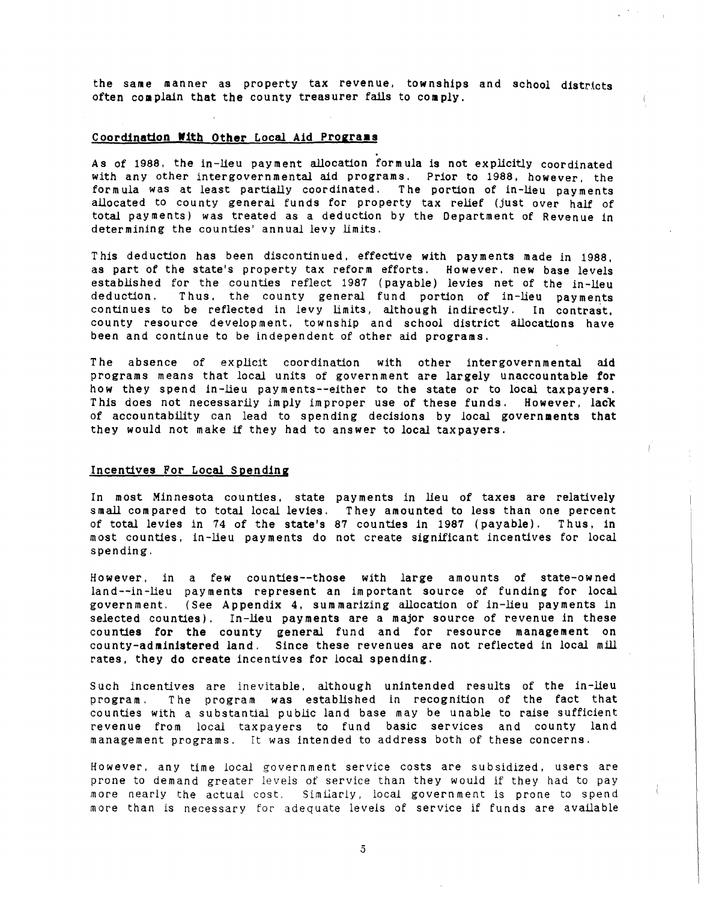the same manner as property tax revenue, townships and school districts often complain that the county treasurer fails to comply.

## Coordination With Other Local Aid Programs

. As of 1988. the in-lieu payment allocation formula is not explicitly coordinated with any other intergovernmental aid programs. Prior to 1988. however, the formula was at least partially coordinated. The portion of in-lieu payments allocated to county general funds for property tax relief (just over half of total payments) was treated as a deduction by the Department of Revenue in determining the counties' annual levy limits.

This deduction has been discontinued, effective with payments made in 1988, as part of the state's property tax reform efforts. However, new base levels established for the counties reflect 1987 (payable) levies net of the in-lieu deduction. Thus, the county general fund portion of in-lieu payments contin ues to be reflected in levy limits, although indirectly. In contrast. county resource development. township and school district allocations have been and continue to be independent of other aid programs.

The absence of explicit coordination with other intergovernmental aid programs means that *local* units of government are largely unaccountable for how they spend in-lieu payments--either to the state or to *local* taxpayers. This does not necessarily imply improper use of these funds. However, lack of accountability can lead to spending decisions by local governments that they would not make if they had to answer to local taxpayers.

## Incentives For Local Spending

In most Minnesota counties. state payments in lieu of taxes are relatively small compared to total local levies. They amounted to less than one percent of total levies in 74 of the state's 87 counties in 1987 (payable). Thus. in most counties, in-lieu payments do not create significant incentives for local spending.

However. in a few counties--those with large amounts of state-ow ned land--in-lieu pay ments represent an im portant source of funding for local government. (See Appendix 4. summarizing allocation of in-lieu payments in selected counties). In-lieu payments are a major source of revenue in these counties for the county general fund and for resource management on county-administered land. Since these revenues are not reflected in local mill rates, they do create incentives for local spending.

Such incentives are inevitable, although unintended results of the in-lieu program. The program was established in recognition of the fact that counties with a substantial public land base may be unable to raise sufficient revenue from local taxpayers to fund basic services and county land management programs. It was intended to address both of these concerns.

However, any time local government service costs are subsidized, users are prone to demand greater levels of service than they would if they had to pay more nearly the actual cost. Similarly. local government is prone to spend more than is necessary for adequate *levels* of service if funds are available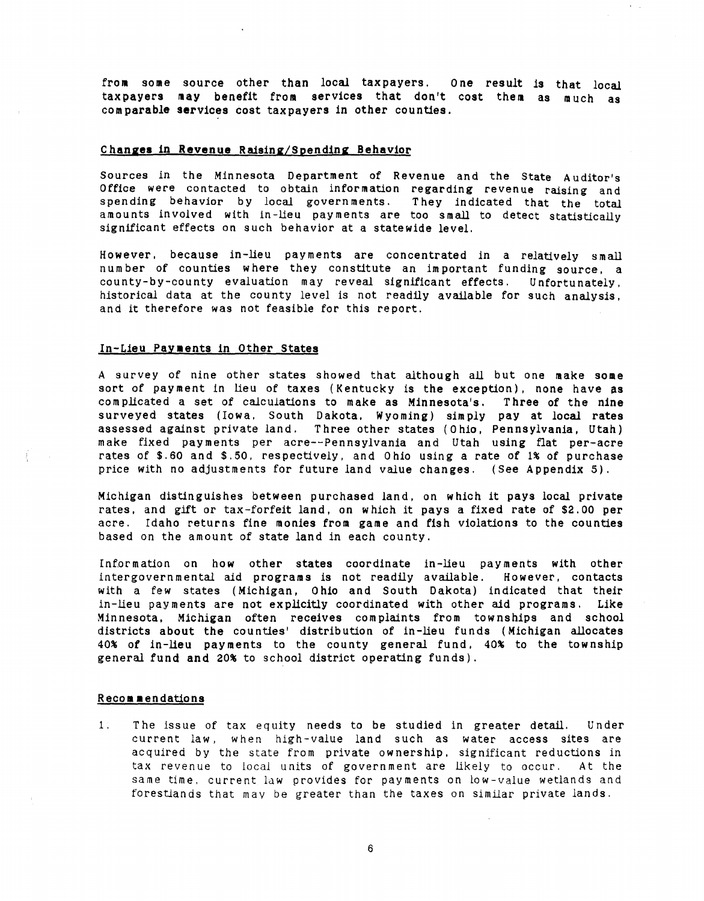from some source other than local taxpayers. One result is that local taxpayers may benefit from services that don't cost them as much as com parable services cost taxpayers in other counties.

# Changes in **Revenue** Raising/Spending Behavior

Sources in the Minnesota Department of Revenue and the State Auditor's Office were contacted to obtain information regarding revenue raising and spending behavior by local governments. They indicated that the total amounts involved with in-lieu payments are too small to detect statistically significant effects on such behavior at a statewide level.

However, because in-lieu payments are concentrated in a relatively small number of counties where they constitute an important funding source, a county-by-county evaluation may reveal significant effects. Unfortunately, historical data at the county level is not readily available for such analysis. and it therefore was not feasible for this report.

#### In-Lieu Payments in Other States

A survey of nine other states showed that although all but one make some sort of payment in lieu of taxes (Kentucky is the exception), none have as com plicated a set of calculations to make as Minnesota's. Three of the nine surveyed states (Iowa. South Dakota. Wyoming) simply pay at local rates assessed against private land. Three other states (0 hio, Pennsylvania, Utah) make fixed payments per acre--Pennsylvania and Utah using flat per-acre rates of \$.60 and \$.50. respectively, and Ohio using a rate of 1% of purchase price with no adjustments for future land value changes. (See Appendix 5).

Michigan distinguishes between purchased land, on which it pays local private rates. and gift or tax-forfeit land, on which it pays a fixed rate of \$2.00 per acre. Idaho returns fine monies from game and fish violations to the counties based on the amount of state land in each county.

Information on how other states coordinate in-lieu payments with other intergovernmental aid programs is not readily available. However. contacts with a few states (Michigan, 0 hio and South Dakota) indicated that their in-lieu payments are not explicitly coordinated with other aid programs. Like Minnesota. Michigan often receives complaints from townships and school districts about the counties' distribution of in-lieu funds (Michigan allocates 40% of in-lieu payments to the county general fund. 40% to the township general fund and 20% to school district operating funds).

## **Recommendations**

1. The issue of tax equity needs to be studied in greater detail. Under current law, when high-value land such as water access sites are acqUired by the state from private ownership. significant reductions in tax revenue to local units of government are likely to occur. At the same time. current law provides for payments on low-value wetlands and forestlands that may be greater than the taxes on similar private lands.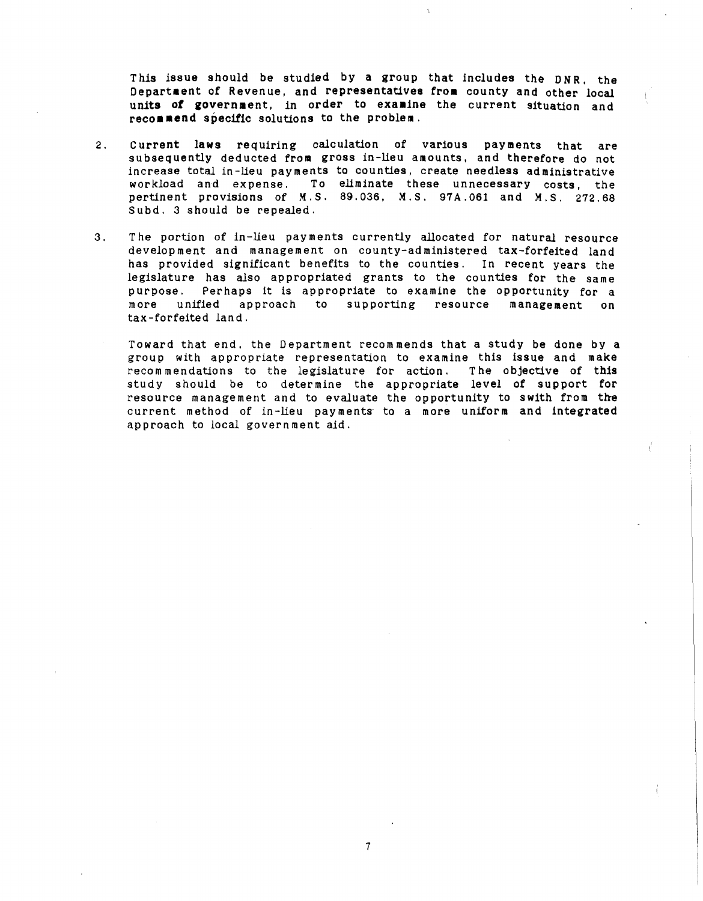This issue should be studied by a group that includes the DNR, the Department of Revenue, and representatives from county and other local units of government, in order to examine the current situation and recommend specific solutions to the problem.

- 2. Current laws requiring calculation of various payments that are subsequently deducted from gross in-lieu amounts, and therefore do not increase total in-lieu payments to counties, create needless administrative workload and expense. To eliminate these unnecessary costs, the pertinent provisions of M.S. 89.036, M.S. 97A.061 and M.S. 272.68 Subd. 3 should be repealed.
- 3. The portion of in-lieu pay ments currently allocated for natural resource development and management on county-administered taX-forfeited land has provided significant benefits to the counties. In recent years the legislature has also appropriated grants to the counties for the same purpose. Perhaps it *is* appropriate to examine the opportunity for a more unified approach to supporting resource management on tax-forfeited land.
	- Toward that end, the Department recommends that a study be done by a group with appropriate representation to examine this issue and make recom mendations to the legislature for action. The objective of this study should be to determine the appropriate level of support for resource management and to evaluate the opportunity to swith from the current method of in-lieu payments to a more uniform and integrated approach to local govern ment aid.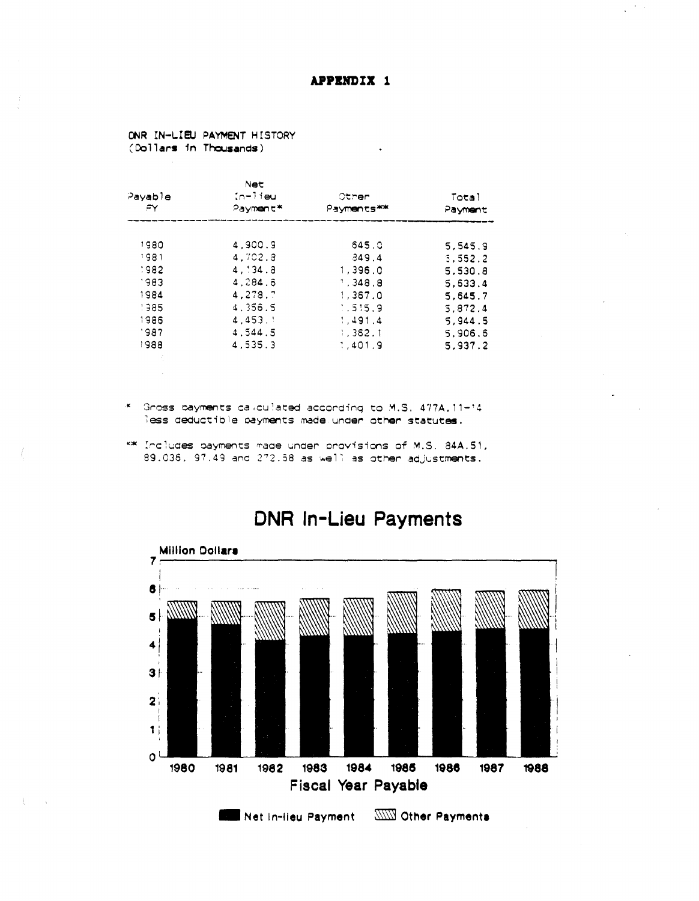ONR IN-LIEU PAYMENT HISTORY (Dollars in Thousands)

| Payable | Net<br>in-lieu | Other      | Total   |
|---------|----------------|------------|---------|
| Ξγ      | Payment*       | Payments** | Payment |
| 1980    | 4.900.9        | 645.0      | 5.545.9 |
| 1981    | 4.702.3        | 349.4      | 5.552.2 |
| 1982    | $4 \cdot 34.3$ | 1.396.0    | 5.530.8 |
| 1983    | 4.284.6        | 1.348.8    | 5.633.4 |
| 1984    | 4.278.7        | 1.367.0    | 5.645.7 |
| 1985    | 4.356.5        | : .515.9   | 5.872.4 |
| 1986    | 4.453.         | 1.491.4    | 5.944.5 |
| 1987    | 4.544.5        | 1.362.1    | 5.906.6 |
| 1988    | 4.535.3        | 1.401.9    | 5.937.2 |

- \* Gross payments calculated according to M.S. 477A.11-14 less deductible payments made under other statutes.
- \*\* Includes payments made under provisions of M.S. 84A.51, 89.036, 97.49 and 272.58 as well as other adjustments.



# **DNR In-Lieu Payments**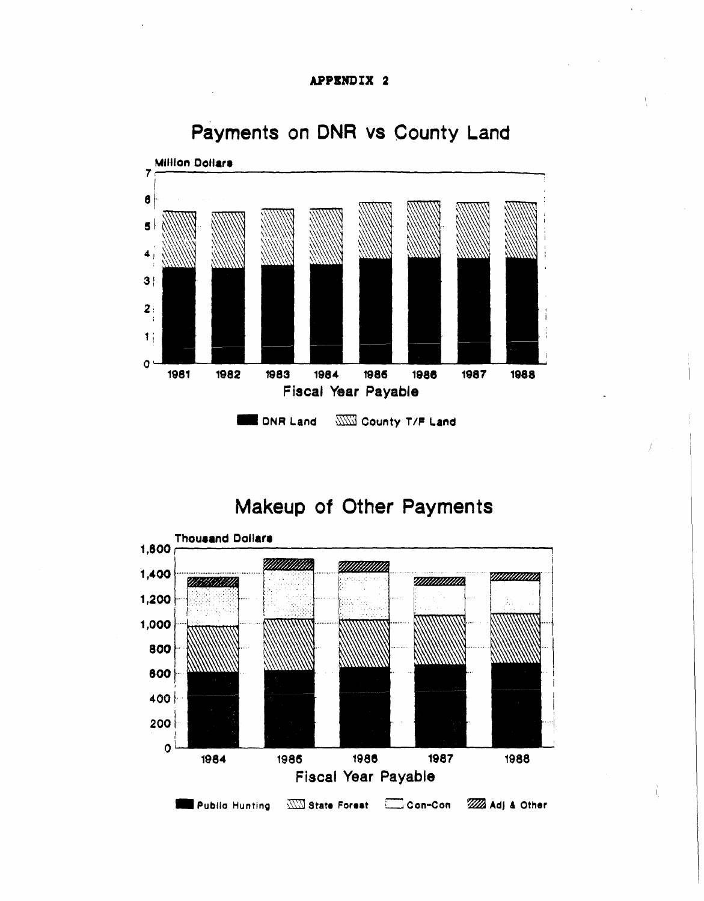# APPENDIX 2



# Payments on DNR vs County Land

Makeup of Other Payments

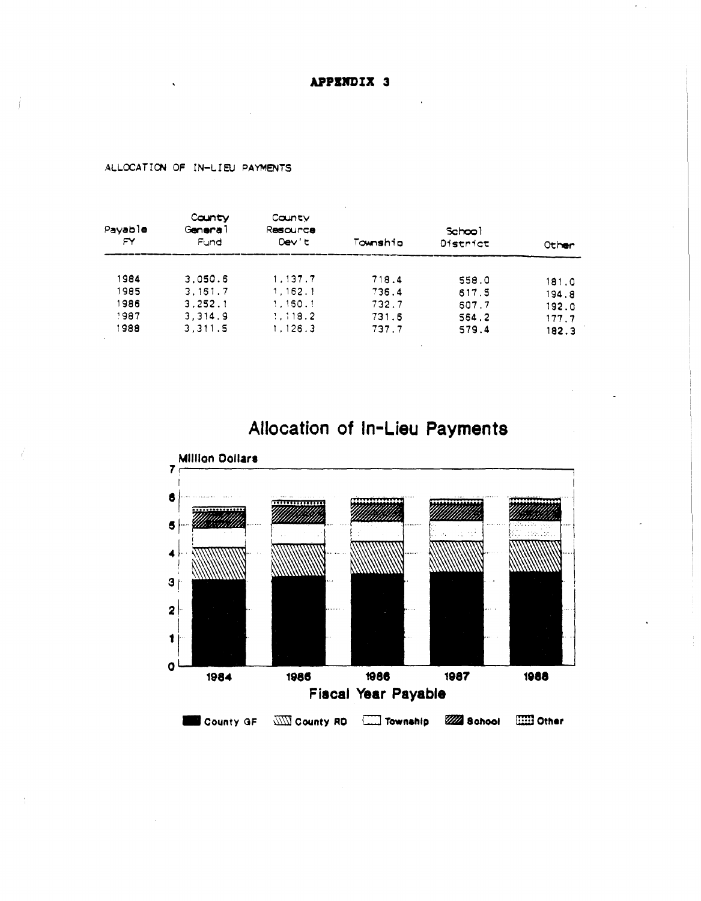APPENDIX 3

| Pavable<br>FY | County<br>General<br>Fund | County<br>Resource<br>Dev't | Township | School<br>District | Other |  |
|---------------|---------------------------|-----------------------------|----------|--------------------|-------|--|
|               |                           |                             |          |                    |       |  |
| 1984          | 3.050.6                   | 1.137.7                     | 718.4    | 558.0              | 181.0 |  |
| 1985          | 3.161.7                   | 1, 162.1                    | 736.4    | 617.5              | 194.8 |  |
| 1986          | 3.252.1                   | 1.150.1                     | 732.7    | 607.7              | 192.0 |  |
| 1987          | 3.314.9                   | 1.118.2                     | 731.6    | 564.2              | 177.7 |  |
| 1988          | 3.311.5                   | 1.126.3                     | 737.7    | 579.4              | 182.3 |  |

ALLOCATION OF IN-LIEU PAYMENTS

# Allocation of In-Lieu Payments

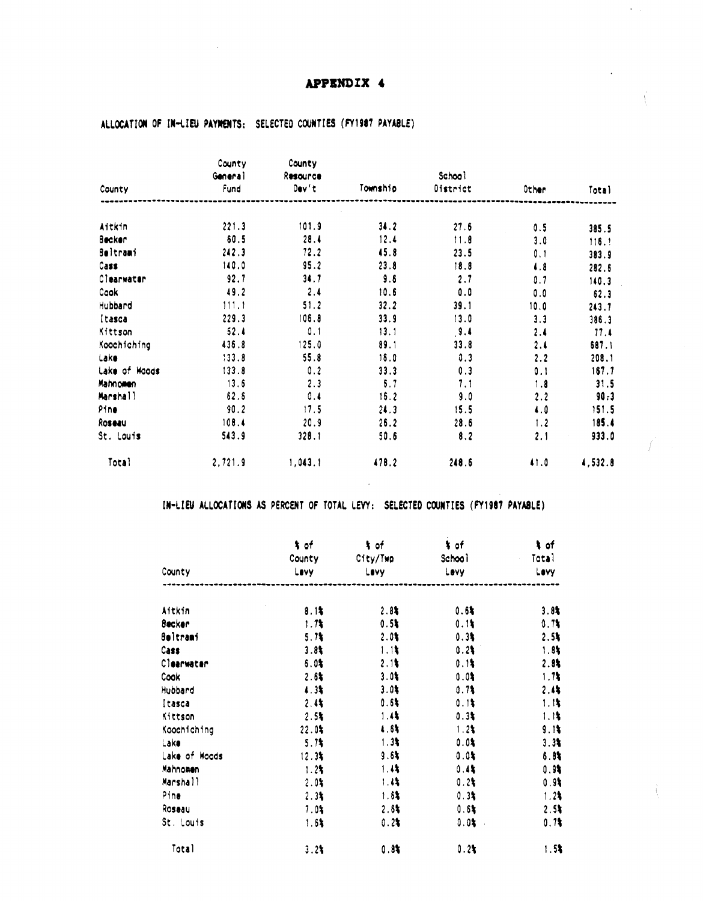$\ddot{\phantom{0}}$ 

Ť

|                 | County<br>General | County<br>Resource |          | School   |            |                |
|-----------------|-------------------|--------------------|----------|----------|------------|----------------|
| County          | Fund              | $0$ ev't           | Township | District | Other      | Total          |
| Aitkin          | 221.3             | 101.9              | 34.2     | 27.6     |            |                |
| <b>Becker</b>   | 60.5              | 28.4               | 12.4     | 11.8     | 0.5        | 385.5          |
| <b>Seltrami</b> | 242.3             | 72.2               | 45.8     | 23.5     | 3.0<br>0.1 | 116.1          |
| Cass            | 140.0             | 95.2               | 23.8     | 18.8     | $\sqrt{3}$ | 383.9<br>282.6 |
| Clearwater      | 92.7              | 34.7               | 9.6      | 2.7      | 0.7        | 140.3          |
| Cook            | 49.2              | 2.4                | 10.6     | 0.0      | 0.0        | 62.3           |
| Hubbard         | 111.1             | 51.2               | 32.2     | 39.1     | 10.0       | 243.7          |
| Itasca          | 229.3             | 106.8              | 33.9     | 13.0     | 3.3        | 386.3          |
| Kittson         | 52.4              | 0.1                | 13.1     | 9.4      | 2.4        | 11.1           |
| Koochiching     | 436.8             | 125.0              | 89.1     | 33.8     | 2.4        | 687.1          |
| Lake            | 133.8             | 55.8               | 16.0     | 0.3      | 2.2        | 208.1          |
| Lake of Woods   | 133.8             | 0.2                | 33.3     | 0.3      | 0.1        | 167.7          |
| Mahnomen        | 13.6              | 2.3                | 6.7      | 7.1      | 1.8        | 31.5           |
| Marshall        | 62.6              | 0.4                | 16.2     | 9.0      | 2.2        | 90.3           |
| Pine            | 90.2              | 17.5               | 24.3     | 15.5     | 4.0        | 151.5          |
| Roseau          | 108.4             | 20.9               | 26.2     | 28.6     | 1.2        | 185.4          |
| St. Louis       | 543.9             | 328.1              | 50.6     | 8.2      | 2.1        | 933.0          |
| Total           | 2,721.9           | 1,043.1            | 478.2    | 248.5    | 41.0       | 4,532.8        |

# ALLOCATION OF IN-LIEU PAYMENTS: SELECTED COUNTIES (FY1987 PAYABLE)

# IN-LIEU ALLOCATIONS AS PERCENT OF TOTAL LEVY: SELECTED COUNTIES (FY1987 PAYABLE)

|                 | t of<br>County | t of<br>City/Twp | t of<br>School | $\frac{1}{2}$ of<br>Total |  |
|-----------------|----------------|------------------|----------------|---------------------------|--|
| County          | Lavy           | Lovy             | Levy           | Levy                      |  |
| Aitkin          | 8.1%           | 2.85             | 0.6%           | 3.84                      |  |
| <b>Becker</b>   | 1.71           | 0.5%             | 0.1            | 0.71                      |  |
| <b>Beltrami</b> | 5.71           | $2.0*$           | 0.3%           | 2.5%                      |  |
| Cass            | 3.81           | 1.11             | 0.2            | 1.81                      |  |
| Clearwater      | $6.0*$         | 2.11             | 0.11           | 2.84                      |  |
| Cook            | 2.6%           | 3.01             | 0.01           | 1.7                       |  |
| Hubbard         | 4.3%           | $3.0*$           | 0.7%           | 2.44                      |  |
| itasca          | $2.4*$         | 0.6%             | 0.1            | 1.1                       |  |
| Kittson         | 2.51           | 1.4%             | 0.3%           | 1.1                       |  |
| Koochiching     | 22.0           | 4.6%             | $1.2*$         | 9.1                       |  |
| Lake            | 5.7            | $1.3*$           | 0.01           | 3.34                      |  |
| Lake of Woods   | 12.3%          | 9.61             | $0.0*$         | 6.85                      |  |
| Mahnomen        | 1.2%           | 1.45             | 0.45           | 0.95                      |  |
| Marshall        | 2.01           | 1.4              | 0.2            | 0.9                       |  |
| Pine            | 2.34           | 1.6%             | 0.3%           | 1.21                      |  |
| Roseau          | 7.0            | $2.8*$           | 0.6%           | 2.51                      |  |
| St. Louis       | $1.6*$         | 0.24             | $0.0$ \$       | 0.7                       |  |
| Total           | 3.24           | 0.81             | 0.24           | $1.5$ \$                  |  |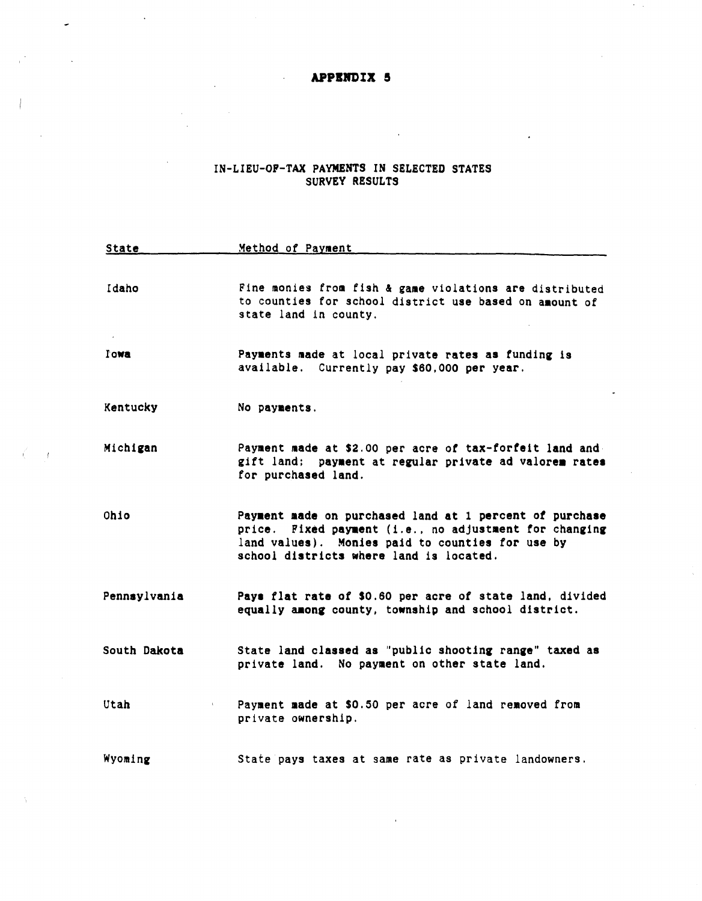## **APPIJn)IX 5**

 $\hat{\mathcal{A}}$ 

 $\sim t$ 

# IN-LIEU-OP-TAX PAYMENTS IN SELECTED STATES SURVEY RESULTS

| <b>State</b> | Method of Payment                                                                                                                                                                                                |
|--------------|------------------------------------------------------------------------------------------------------------------------------------------------------------------------------------------------------------------|
|              |                                                                                                                                                                                                                  |
| Idaho        | Fine monies from fish & game violations are distributed<br>to counties for school district use based on amount of<br>state land in county.                                                                       |
| <b>Towa</b>  | Payments made at local private rates as funding is<br>available. Currently pay \$60,000 per year.                                                                                                                |
| Kentucky     | No payments.                                                                                                                                                                                                     |
| Michigan     | Payment made at \$2.00 per acre of tax-forfeit land and<br>gift land; payment at regular private ad valorem rates<br>for purchased land.                                                                         |
| Ohio         | Payment made on purchased land at 1 percent of purchase<br>price. Fixed payment (i.e., no adjustment for changing<br>land values). Monies paid to counties for use by<br>school districts where land is located. |
| Pennsylvania | Pays flat rate of \$0.60 per acre of state land, divided<br>equally among county, township and school district.                                                                                                  |
| South Dakota | State land classed as "public shooting range" taxed as<br>private land. No payment on other state land.                                                                                                          |
| Utah         | Payment made at \$0.50 per acre of land removed from<br>$\Gamma$<br>private ownership.                                                                                                                           |
| Wyoming      | State pays taxes at same rate as private landowners.                                                                                                                                                             |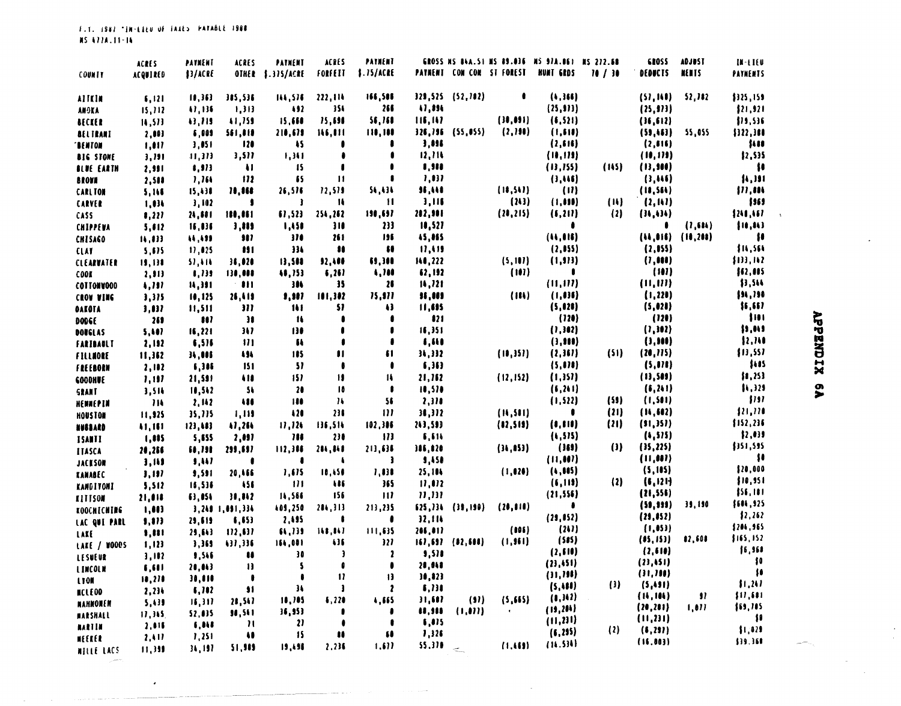|                                       | <b>ACRES</b>    | PATMENT             | ACRES                   | PATHENT                     | ACRES                | PAYMENT      |         |                                  |           | GROSS NS 84A.51 NS 89.036 NS 97A.061 NS 272.68 |                             | <b>GROSS</b> | <b>ADJUST</b>       | $M - LIEU$                                                 |
|---------------------------------------|-----------------|---------------------|-------------------------|-----------------------------|----------------------|--------------|---------|----------------------------------|-----------|------------------------------------------------|-----------------------------|--------------|---------------------|------------------------------------------------------------|
| <b>COUNTY</b>                         | <b>ACQUIRED</b> | \$3/ACRE            | <b>OTHER</b>            | 1.315/ACRE                  | FORFEIT              | 1.15/ATE     |         | <b>PATRENT CON CON ST FOREST</b> |           | <b>NUNT GRDS</b>                               | 10/30                       | DEDUCTS      | NEMTS               | PAYMENTS                                                   |
| AITCH                                 | 6,121           | 11,363              | 385,536                 | 144,576                     | 222,114              | 166,506      |         | 329,525 (52,702)                 |           | (4,366)                                        |                             | (57, 110)    | 52,182              | \$325,159                                                  |
| <b>ANOKA</b>                          | 15, 112         | 47,136              | 1,313                   | $\bullet$                   | 354                  | 266          | 11,334  |                                  |           | (25, 973)                                      |                             | (25, 323)    |                     | ${121, 921}$                                               |
| <b>MECKER</b>                         | 14,573          | 43,715              | 41,759                  | 15,668                      | 75,698               | 56,768       | 116,147 |                                  | (30, 091) | (6,521)                                        |                             | (16, 612)    |                     | \$19,536                                                   |
| <b>BELTRANT</b>                       | 7,101           | 6,009               | 561,819                 | 210,679                     | 116,011              | 110,100      |         | 326, 196 (55, 055)               | (2,190)   | (1, 111)                                       |                             | (59, 163)    | 55,055              | ${122, 300}$                                               |
| <b>BENTON</b>                         | 1,017           | 3,851               | 120                     | $\sqrt{2}$                  |                      |              | 3,896   |                                  |           | (2, 616)                                       |                             | (2, 616)     |                     | 1111                                                       |
|                                       |                 | 41,373              | 3,511                   | 1,341                       |                      |              | 12,111  |                                  |           | (10, 115)                                      |                             | (10, 119)    |                     | \$2,535                                                    |
| <b>BIG STONE</b><br><b>BLUE EARTH</b> | 3,791           | 1,973               | $\mathbf{H}$            | $\sqrt{15}$                 |                      |              | 1,981   |                                  |           | (13, 155)                                      | (115)                       | (13, 500)    |                     | $\ddot{\phantom{1}}$                                       |
| <b>BROVN</b>                          | 2,991           | 1,164               | 112                     | 65                          | 11                   |              | 1,011   |                                  |           | (3,115)                                        |                             | (3,115)      |                     | ${1, 111}$                                                 |
| <b>CARLTON</b>                        | 2,588           | 15,130              | 78,868                  | 26,576                      | 12,519               | 54,434       | 36,448  |                                  | (18, 541) | (11)                                           |                             | (18, 564)    |                     | ${11,111}$                                                 |
| <b>CARVER</b>                         | 5,166<br>1,036  | 3,102               | J                       | -3                          | 14                   | 11           | 1,116   |                                  | (243)     | (1,000)                                        | (1)                         | (2, 11)      |                     | 1363                                                       |
| <b>CASS</b>                           |                 | 24,581              | 180,861                 | 67,523                      | 254,262              | 190,697      | 202,901 |                                  | (20, 215) | (6, 211)                                       | $\{2\}$                     | (31, 1)      |                     | 1241, 167                                                  |
| <b>CHIPPEUA</b>                       | 1, 222<br>5,612 | 16,016              | 3,889                   | 1,458                       | 310                  | $\mathbf{v}$ | 10,527  |                                  |           |                                                |                             |              | (1,514)             | ${10, 141}$                                                |
|                                       |                 | 11,195              | 987                     | $\mathbf{m}$                | 261                  | 196          | 45,885  |                                  |           | (44, 015)                                      |                             |              | (14, 016) (10, 208) | $\ddot{\phantom{1}}$                                       |
| <b>CHISAGO</b>                        | 14,833          | 17,025              | 111                     | 334                         | $\bullet$            | n            | 11,115  |                                  |           | (2, 055)                                       |                             | (2, 155)     |                     | \$14,564                                                   |
| <b>CLAY</b><br>CLEARVATER             | 5,675<br>19,130 | 51,414              | 36,020                  | 13,500                      | 32,486               | 69,300       | 140,222 |                                  | (5, 107)  | (1, 913)                                       |                             | (7, 00)      |                     | ${133,112}$                                                |
| <b>COOK</b>                           | 2, 913          | 1,739               | 130,008                 | 48,753                      | 6,261                | 1,788        | 62,192  |                                  | (101)     | $\bullet$                                      |                             | (101)        |                     | 102,005                                                    |
| COTTONWOOD                            | 4,797           | 14,391              | - 88                    | 384                         | 35                   | 26           | 14, 721 |                                  |           | (11, 111)                                      |                             | (11, 111)    |                     | ${1,511}$                                                  |
| <b>CROA AINE</b>                      | 3,375           | 10,125              | 26,419                  | 1,107                       | 101,302              | 15,911       | 38,009  |                                  | (11)      | (1, 0)                                         |                             | (1, 220)     |                     | ${11, 110}$                                                |
| <b>OAKOTA</b>                         | 1,017           | 11,511              | 311                     | 111                         | 51                   | 43           | 11,695  |                                  |           | (5, 028)                                       |                             | (5, 020)     |                     | ${1,61}$                                                   |
| <b>DODGE</b>                          | 269             | $\ddot{\mathbf{u}}$ | 31                      | 11                          |                      |              | 121     |                                  |           | (120)                                          |                             | (120)        |                     | $ 101\rangle$                                              |
| DOUGLAS                               | 5,101           | 16,221              | 317                     | 130                         |                      |              | 16,351  |                                  |           | (1, 302)                                       |                             | (1, 302)     |                     | \$9,019                                                    |
| FARIBAULT                             | 2,192           | 6,516               | $\mathbf{u}$            | $\mathbf{u}$                | 8                    |              | 1,111   |                                  |           | (3, 10)                                        |                             | (1, 100)     |                     | ${1, 710}$                                                 |
| FILLNORE                              | 11,362          | 34,006              | 494                     | 185                         | П                    | 61           | 34,332  |                                  | (10,351)  | (2,361)                                        | (51)                        | (20, 225)    |                     | ${13,557}$                                                 |
| FREEBORN                              | 2,102           | 6,386               | 151                     | $\boldsymbol{\mathsf{S}}$   | ß                    | ı            | 6,363   |                                  |           | (5, 010)                                       |                             | (5, 0)       |                     | $\mu$                                                      |
| COODHUE                               | 1,197           | 21,591              | $\bullet$               | 157                         | 19                   | 14           | 21,162  |                                  | (12, 152) | (1,351)                                        |                             | (13, 509)    |                     | ${1,25}$                                                   |
| <b>SRANT</b>                          | 3,514           | 18,542              | 54                      | $\mathbf{u}$                | 10                   |              | 10,570  |                                  |           | (6, 261)                                       |                             | (6, 241)     |                     | 1,325                                                      |
| HENNEPIN                              | 714             | 2,142               | $\bullet\bullet\bullet$ | 188                         | 14                   | 56           | 2,370   |                                  |           | (1, 522)                                       | (59)                        | (1, 501)     |                     | 11                                                         |
| <b>HOUSTOM</b>                        | 11,925          | 35,775              | 1,119                   | $\sqrt{20}$                 | 236                  | 111          | 38,372  |                                  | (14, 581) |                                                | (21)                        | (11, 602)    |                     | 121, 220                                                   |
| HUSBARD                               | 11,161          | 123,113             | 47,264                  | 11,124                      | 136,514              | 102,386      | 243,593 |                                  | (12, 519) | (1,111)                                        | (21)                        | (91,351)     |                     | \$152,236                                                  |
| <b>ISANTI</b>                         | 1,005           | 5,555               | 2,097                   | $\overline{\mathbf{u}}$     | 230                  | $\mathbf{m}$ | 5,516   |                                  |           | (1, 575)                                       |                             | (4, 515)     |                     | ${1,01}$                                                   |
| <b>ITASCA</b>                         | 20,256          | 10,790              | 299,697                 | 112,386                     | 284,848              | 213,636      | 386,820 |                                  | (34, 153) | (353)                                          | $\left( \mathbf{I} \right)$ | (15, 225)    |                     | \$351,595                                                  |
| JACKSON                               | 3,111           | 9,447               | c                       | 1                           | ł                    | э            | 9,450   |                                  |           | (11, 00)                                       |                             | (11, 00)     |                     | -\$8                                                       |
| <b>KANABEC</b>                        | 1,197           | 9,591               | 20,466                  | 1,615                       | 10,450               | 7,038        | 25,104  |                                  | (1, 0.20) | (4, 605)                                       |                             | (5, 105)     |                     | ${120,000}$                                                |
| <b>KANDITONI</b>                      | 5,512           | 16,536              | 456                     | 111                         | $\ddotsc$            | 365          | 11,012  |                                  |           | (6,119)                                        | $\{2\}$                     | (6,121)      |                     | ${10, 951}$                                                |
|                                       | 21,011          | 63,854              | 30,042                  | 14,566                      | 156                  | $\mathbf{1}$ | 11,111  |                                  |           | (21, 556)                                      |                             | (21, 556)    |                     | ${156, 101}$                                               |
| <b>ALLIZON</b><br>KOOCHICHING         | 1,003           |                     | 3,248-1,091,334         | 109,250                     | 284,313              | 213,235      | 625,734 | (39, 199)                        | (20, 010) | $\bullet$                                      |                             | (59, 333)    | 39,190              | \$604,925                                                  |
| LAC QUI PARL                          | 9,813           | 29,619              | 6,653                   | 2,495                       |                      |              | 32,114  |                                  |           | (29, 852)                                      |                             | (29, 852)    |                     | 12,262                                                     |
|                                       | 1,88            | 29,613              | 112,611                 | (1,1)                       | 118,817              | 111,635      | 206,017 |                                  | ( IOS )   | (24)                                           |                             | (1, 05)      |                     | \$204,965                                                  |
| LAKE<br>LAKE / WOODS                  | 1,123           | 3,369               | 131,336                 | 164,001                     | $\ddot{\phantom{1}}$ | 327          |         | 167, 697 (82, 601)               | (1, 961)  | (515)                                          |                             | (05, 153)    | 82,608              | 1165, 152                                                  |
|                                       | 3,102           | 1,546               | $\bullet$               | 30                          | -3                   | 1            | 9,578   |                                  |           | (2, 610)                                       |                             | (2, 610)     |                     | 16, 961                                                    |
| LESUEUR                               | 6,601           | 20,043              | $\mathbf{H}$            | 5                           | O                    |              | 28,848  |                                  |           | (23, 451)                                      |                             | (23, 451)    |                     | ${10}$                                                     |
| <b>LINCOLN</b><br><b>LYON</b>         | 10,210          | 30,010              | ı                       | ٠                           | $\blacksquare$       | $\mathbf{B}$ | 10, 123 |                                  |           | (11, 111)                                      |                             | (11, 101)    |                     | $\pmb{\scriptstyle\textbf{1}}\pmb{\scriptstyle\textbf{0}}$ |
| <b>MCLEOD</b>                         | 2,234           | 6,702               | $\bullet$               | 34                          | J                    | $\mathbf{r}$ | 6,730   |                                  |           | (5,10)                                         | $\left($ 3)                 | (5, 491)     |                     | ${11,211}$                                                 |
| <b>MAHNONEN</b>                       | 5,439           | 15,317              | 28,547                  | 10,705                      | 6,220                | 4,665        | 31,607  | (9)                              | (5,665)   | (1,342)                                        |                             | (14, 104)    | 97                  | ${11,601}$                                                 |
| MARSHALL                              | 17,345          | 52,035              | 30,541                  | 36,953                      |                      |              | 11,388  | (1, 0)                           | $\bullet$ | (19, 204)                                      |                             | (20, 201)    | 1,011               | \$69,785                                                   |
| <b>MARTIN</b>                         | 2,816           | 4,018               | $\mathbf{H}$            | $\boldsymbol{\mathfrak{p}}$ |                      | ı            | 6,075   |                                  |           | (11, 231)                                      |                             | (11, 231)    |                     | $\mathbf{1}$                                               |
| MEEKER                                | 2,417           | 1,251               | $\bullet$               | 15                          | $\mathbf{u}$         | - 68         | 1,326   |                                  |           | (6, 295)                                       | (2)                         | (6, 291)     |                     | 1,029                                                      |
| <b>MILLE LACS</b>                     | 11,319          | 34, 197             | 51,989                  | 19,498                      | 2.236                | 1,511        | 55.378  | $\sigma_{\rm max}^2$             | (1,153)   | (14.534)                                       |                             | (16.003)     |                     | 139.360                                                    |
|                                       |                 |                     |                         |                             |                      |              |         |                                  |           |                                                |                             |              |                     |                                                            |

 $\sim$ 

l,

 $\mathcal{L}$ 

المعتدر

 $\overline{\boldsymbol{z}}$